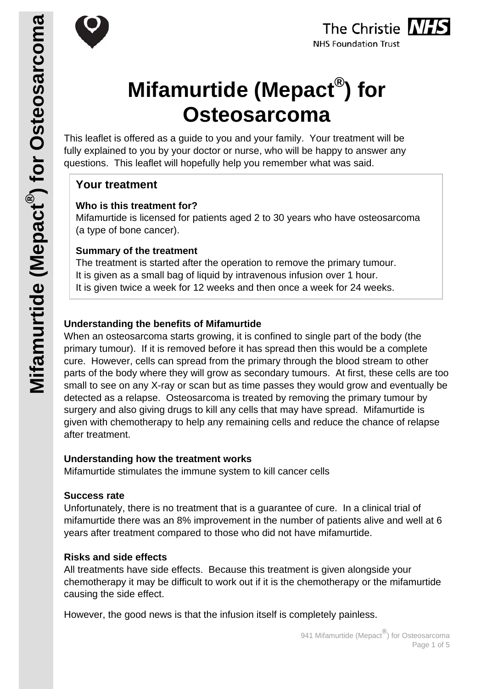



# **Mifamurtide (Mepact®) for Osteosarcoma**

This leaflet is offered as a guide to you and your family. Your treatment will be fully explained to you by your doctor or nurse, who will be happy to answer any questions. This leaflet will hopefully help you remember what was said.

# **Your treatment**

#### **Who is this treatment for?**

Mifamurtide is licensed for patients aged 2 to 30 years who have osteosarcoma (a type of bone cancer).

## **Summary of the treatment**

The treatment is started after the operation to remove the primary tumour. It is given as a small bag of liquid by intravenous infusion over 1 hour. It is given twice a week for 12 weeks and then once a week for 24 weeks.

# **Understanding the benefits of Mifamurtide**

When an osteosarcoma starts growing, it is confined to single part of the body (the primary tumour). If it is removed before it has spread then this would be a complete cure. However, cells can spread from the primary through the blood stream to other parts of the body where they will grow as secondary tumours. At first, these cells are too small to see on any X-ray or scan but as time passes they would grow and eventually be detected as a relapse. Osteosarcoma is treated by removing the primary tumour by surgery and also giving drugs to kill any cells that may have spread. Mifamurtide is given with chemotherapy to help any remaining cells and reduce the chance of relapse after treatment.

#### **Understanding how the treatment works**

Mifamurtide stimulates the immune system to kill cancer cells

#### **Success rate**

Unfortunately, there is no treatment that is a guarantee of cure. In a clinical trial of mifamurtide there was an 8% improvement in the number of patients alive and well at 6 years after treatment compared to those who did not have mifamurtide.

# **Risks and side effects**

All treatments have side effects. Because this treatment is given alongside your chemotherapy it may be difficult to work out if it is the chemotherapy or the mifamurtide causing the side effect.

However, the good news is that the infusion itself is completely painless.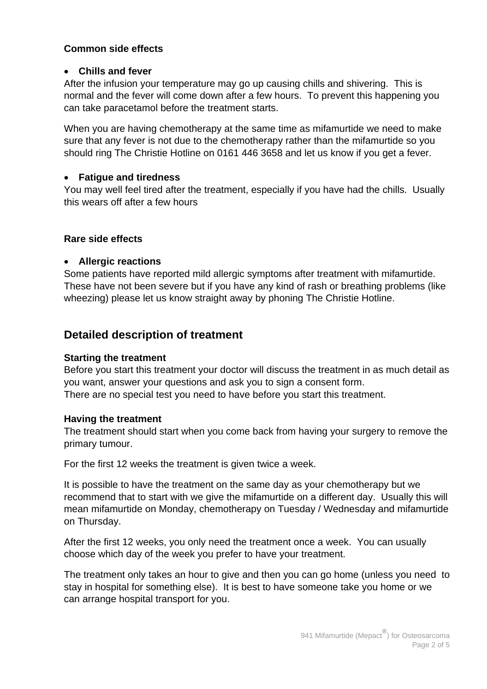#### **Common side effects**

#### **Chills and fever**

After the infusion your temperature may go up causing chills and shivering. This is normal and the fever will come down after a few hours. To prevent this happening you can take paracetamol before the treatment starts.

When you are having chemotherapy at the same time as mifamurtide we need to make sure that any fever is not due to the chemotherapy rather than the mifamurtide so you should ring The Christie Hotline on 0161 446 3658 and let us know if you get a fever.

#### **Fatigue and tiredness**

You may well feel tired after the treatment, especially if you have had the chills. Usually this wears off after a few hours

#### **Rare side effects**

#### **Allergic reactions**

Some patients have reported mild allergic symptoms after treatment with mifamurtide. These have not been severe but if you have any kind of rash or breathing problems (like wheezing) please let us know straight away by phoning The Christie Hotline.

# **Detailed description of treatment**

#### **Starting the treatment**

Before you start this treatment your doctor will discuss the treatment in as much detail as you want, answer your questions and ask you to sign a consent form. There are no special test you need to have before you start this treatment.

#### **Having the treatment**

The treatment should start when you come back from having your surgery to remove the primary tumour.

For the first 12 weeks the treatment is given twice a week.

It is possible to have the treatment on the same day as your chemotherapy but we recommend that to start with we give the mifamurtide on a different day. Usually this will mean mifamurtide on Monday, chemotherapy on Tuesday / Wednesday and mifamurtide on Thursday.

After the first 12 weeks, you only need the treatment once a week. You can usually choose which day of the week you prefer to have your treatment.

The treatment only takes an hour to give and then you can go home (unless you need to stay in hospital for something else). It is best to have someone take you home or we can arrange hospital transport for you.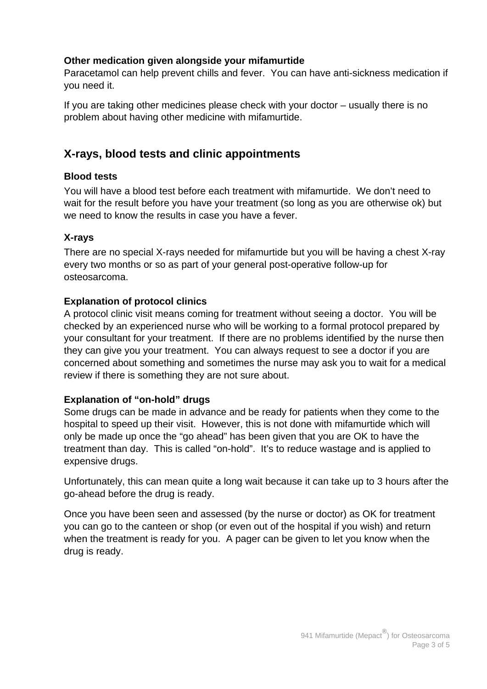#### **Other medication given alongside your mifamurtide**

Paracetamol can help prevent chills and fever. You can have anti-sickness medication if you need it.

If you are taking other medicines please check with your doctor – usually there is no problem about having other medicine with mifamurtide.

# **X-rays, blood tests and clinic appointments**

## **Blood tests**

You will have a blood test before each treatment with mifamurtide. We don't need to wait for the result before you have your treatment (so long as you are otherwise ok) but we need to know the results in case you have a fever.

# **X-rays**

There are no special X-rays needed for mifamurtide but you will be having a chest X-ray every two months or so as part of your general post-operative follow-up for osteosarcoma.

## **Explanation of protocol clinics**

A protocol clinic visit means coming for treatment without seeing a doctor. You will be checked by an experienced nurse who will be working to a formal protocol prepared by your consultant for your treatment. If there are no problems identified by the nurse then they can give you your treatment. You can always request to see a doctor if you are concerned about something and sometimes the nurse may ask you to wait for a medical review if there is something they are not sure about.

# **Explanation of "on-hold" drugs**

Some drugs can be made in advance and be ready for patients when they come to the hospital to speed up their visit. However, this is not done with mifamurtide which will only be made up once the "go ahead" has been given that you are OK to have the treatment than day. This is called "on-hold". It's to reduce wastage and is applied to expensive drugs.

Unfortunately, this can mean quite a long wait because it can take up to 3 hours after the go-ahead before the drug is ready.

Once you have been seen and assessed (by the nurse or doctor) as OK for treatment you can go to the canteen or shop (or even out of the hospital if you wish) and return when the treatment is ready for you. A pager can be given to let you know when the drug is ready.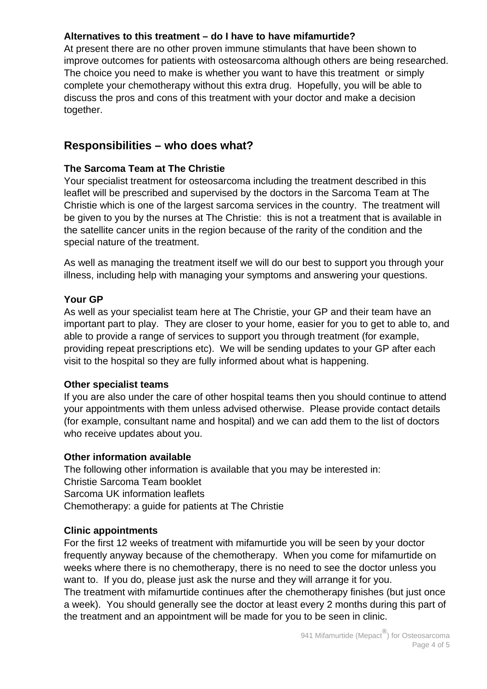## **Alternatives to this treatment – do I have to have mifamurtide?**

At present there are no other proven immune stimulants that have been shown to improve outcomes for patients with osteosarcoma although others are being researched. The choice you need to make is whether you want to have this treatment or simply complete your chemotherapy without this extra drug. Hopefully, you will be able to discuss the pros and cons of this treatment with your doctor and make a decision together.

# **Responsibilities – who does what?**

## **The Sarcoma Team at The Christie**

Your specialist treatment for osteosarcoma including the treatment described in this leaflet will be prescribed and supervised by the doctors in the Sarcoma Team at The Christie which is one of the largest sarcoma services in the country. The treatment will be given to you by the nurses at The Christie: this is not a treatment that is available in the satellite cancer units in the region because of the rarity of the condition and the special nature of the treatment.

As well as managing the treatment itself we will do our best to support you through your illness, including help with managing your symptoms and answering your questions.

#### **Your GP**

As well as your specialist team here at The Christie, your GP and their team have an important part to play. They are closer to your home, easier for you to get to able to, and able to provide a range of services to support you through treatment (for example, providing repeat prescriptions etc). We will be sending updates to your GP after each visit to the hospital so they are fully informed about what is happening.

#### **Other specialist teams**

If you are also under the care of other hospital teams then you should continue to attend your appointments with them unless advised otherwise. Please provide contact details (for example, consultant name and hospital) and we can add them to the list of doctors who receive updates about you.

#### **Other information available**

The following other information is available that you may be interested in: Christie Sarcoma Team booklet Sarcoma UK information leaflets Chemotherapy: a guide for patients at The Christie

#### **Clinic appointments**

For the first 12 weeks of treatment with mifamurtide you will be seen by your doctor frequently anyway because of the chemotherapy. When you come for mifamurtide on weeks where there is no chemotherapy, there is no need to see the doctor unless you want to. If you do, please just ask the nurse and they will arrange it for you. The treatment with mifamurtide continues after the chemotherapy finishes (but just once a week). You should generally see the doctor at least every 2 months during this part of the treatment and an appointment will be made for you to be seen in clinic.